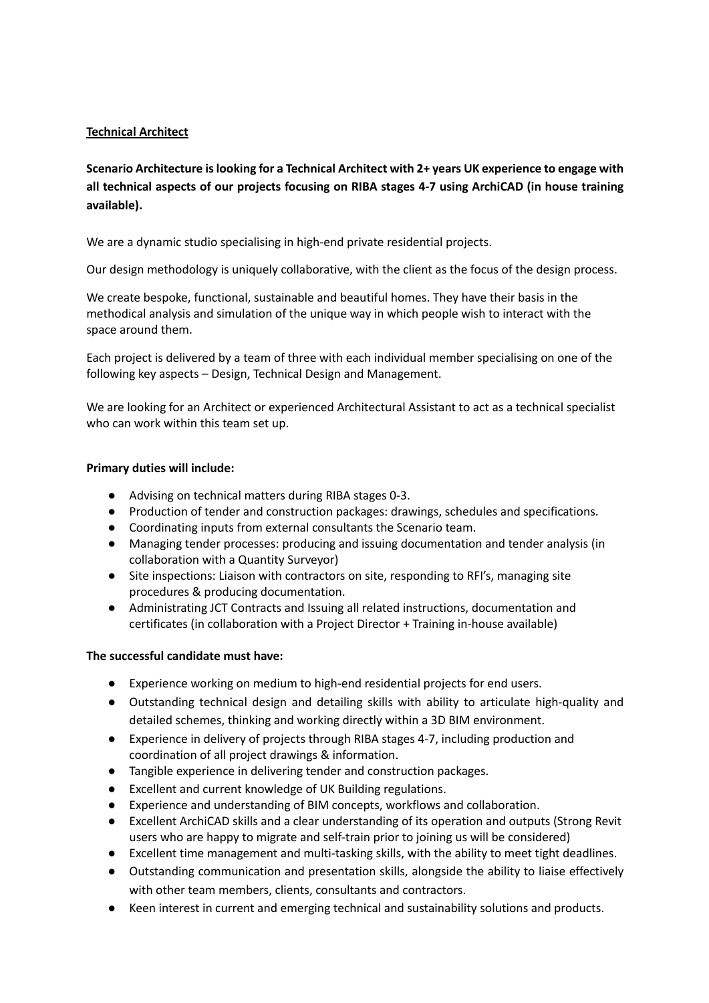# **Technical Architect**

**Scenario Architecture is looking for a Technical Architect with 2+ years UK experience to engage with all technical aspects of our projects focusing on RIBA stages 4-7 using ArchiCAD (in house training available).** 

We are a dynamic studio specialising in high-end private residential projects.

Our design methodology is uniquely collaborative, with the client as the focus of the design process.

We create bespoke, functional, sustainable and beautiful homes. They have their basis in the methodical analysis and simulation of the unique way in which people wish to interact with the space around them.

Each project is delivered by a team of three with each individual member specialising on one of the following key aspects – Design, Technical Design and Management.

We are looking for an Architect or experienced Architectural Assistant to act as a technical specialist who can work within this team set up.

## **Primary duties will include:**

- Advising on technical matters during RIBA stages 0-3.
- Production of tender and construction packages: drawings, schedules and specifications.
- Coordinating inputs from external consultants the Scenario team.
- Managing tender processes: producing and issuing documentation and tender analysis (in collaboration with a Quantity Surveyor)
- Site inspections: Liaison with contractors on site, responding to RFI's, managing site procedures & producing documentation.
- Administrating JCT Contracts and Issuing all related instructions, documentation and certificates (in collaboration with a Project Director + Training in-house available)

## **The successful candidate must have:**

- Experience working on medium to high-end residential projects for end users.
- Outstanding technical design and detailing skills with ability to articulate high-quality and detailed schemes, thinking and working directly within a 3D BIM environment.
- Experience in delivery of projects through RIBA stages 4-7, including production and coordination of all project drawings & information.
- Tangible experience in delivering tender and construction packages.
- Excellent and current knowledge of UK Building regulations.
- Experience and understanding of BIM concepts, workflows and collaboration.
- Excellent ArchiCAD skills and a clear understanding of its operation and outputs (Strong Revit users who are happy to migrate and self-train prior to joining us will be considered)
- Excellent time management and multi-tasking skills, with the ability to meet tight deadlines.
- Outstanding communication and presentation skills, alongside the ability to liaise effectively with other team members, clients, consultants and contractors.
- Keen interest in current and emerging technical and sustainability solutions and products.